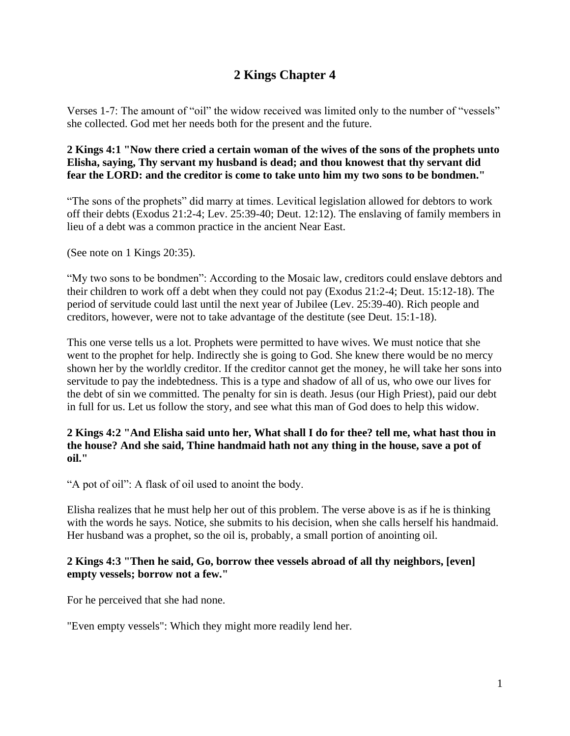# **2 Kings Chapter 4**

Verses 1-7: The amount of "oil" the widow received was limited only to the number of "vessels" she collected. God met her needs both for the present and the future.

## **2 Kings 4:1 "Now there cried a certain woman of the wives of the sons of the prophets unto Elisha, saying, Thy servant my husband is dead; and thou knowest that thy servant did fear the LORD: and the creditor is come to take unto him my two sons to be bondmen."**

"The sons of the prophets" did marry at times. Levitical legislation allowed for debtors to work off their debts (Exodus 21:2-4; Lev. 25:39-40; Deut. 12:12). The enslaving of family members in lieu of a debt was a common practice in the ancient Near East.

(See note on 1 Kings 20:35).

"My two sons to be bondmen": According to the Mosaic law, creditors could enslave debtors and their children to work off a debt when they could not pay (Exodus 21:2-4; Deut. 15:12-18). The period of servitude could last until the next year of Jubilee (Lev. 25:39-40). Rich people and creditors, however, were not to take advantage of the destitute (see Deut. 15:1-18).

This one verse tells us a lot. Prophets were permitted to have wives. We must notice that she went to the prophet for help. Indirectly she is going to God. She knew there would be no mercy shown her by the worldly creditor. If the creditor cannot get the money, he will take her sons into servitude to pay the indebtedness. This is a type and shadow of all of us, who owe our lives for the debt of sin we committed. The penalty for sin is death. Jesus (our High Priest), paid our debt in full for us. Let us follow the story, and see what this man of God does to help this widow.

## **2 Kings 4:2 "And Elisha said unto her, What shall I do for thee? tell me, what hast thou in the house? And she said, Thine handmaid hath not any thing in the house, save a pot of oil."**

"A pot of oil": A flask of oil used to anoint the body.

Elisha realizes that he must help her out of this problem. The verse above is as if he is thinking with the words he says. Notice, she submits to his decision, when she calls herself his handmaid. Her husband was a prophet, so the oil is, probably, a small portion of anointing oil.

## **2 Kings 4:3 "Then he said, Go, borrow thee vessels abroad of all thy neighbors, [even] empty vessels; borrow not a few."**

For he perceived that she had none.

"Even empty vessels": Which they might more readily lend her.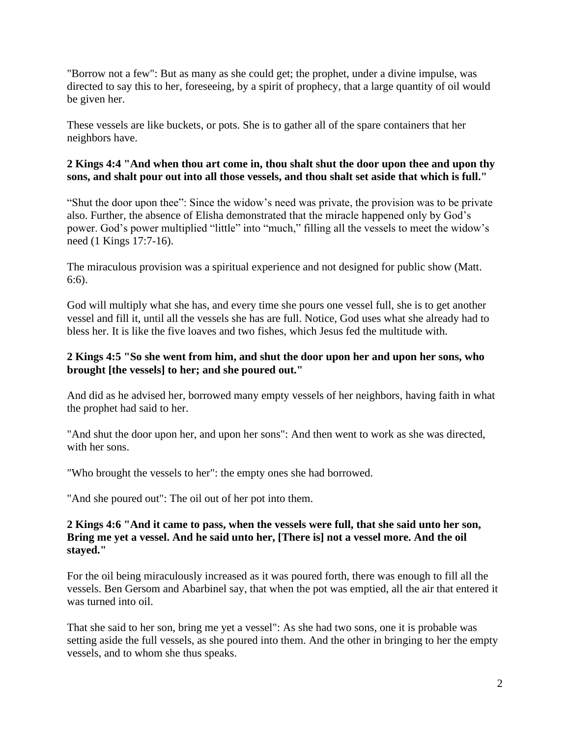"Borrow not a few": But as many as she could get; the prophet, under a divine impulse, was directed to say this to her, foreseeing, by a spirit of prophecy, that a large quantity of oil would be given her.

These vessels are like buckets, or pots. She is to gather all of the spare containers that her neighbors have.

# **2 Kings 4:4 "And when thou art come in, thou shalt shut the door upon thee and upon thy sons, and shalt pour out into all those vessels, and thou shalt set aside that which is full."**

"Shut the door upon thee": Since the widow's need was private, the provision was to be private also. Further, the absence of Elisha demonstrated that the miracle happened only by God's power. God's power multiplied "little" into "much," filling all the vessels to meet the widow's need (1 Kings 17:7-16).

The miraculous provision was a spiritual experience and not designed for public show (Matt. 6:6).

God will multiply what she has, and every time she pours one vessel full, she is to get another vessel and fill it, until all the vessels she has are full. Notice, God uses what she already had to bless her. It is like the five loaves and two fishes, which Jesus fed the multitude with.

## **2 Kings 4:5 "So she went from him, and shut the door upon her and upon her sons, who brought [the vessels] to her; and she poured out."**

And did as he advised her, borrowed many empty vessels of her neighbors, having faith in what the prophet had said to her.

"And shut the door upon her, and upon her sons": And then went to work as she was directed, with her sons.

"Who brought the vessels to her": the empty ones she had borrowed.

"And she poured out": The oil out of her pot into them.

#### **2 Kings 4:6 "And it came to pass, when the vessels were full, that she said unto her son, Bring me yet a vessel. And he said unto her, [There is] not a vessel more. And the oil stayed."**

For the oil being miraculously increased as it was poured forth, there was enough to fill all the vessels. Ben Gersom and Abarbinel say, that when the pot was emptied, all the air that entered it was turned into oil.

That she said to her son, bring me yet a vessel": As she had two sons, one it is probable was setting aside the full vessels, as she poured into them. And the other in bringing to her the empty vessels, and to whom she thus speaks.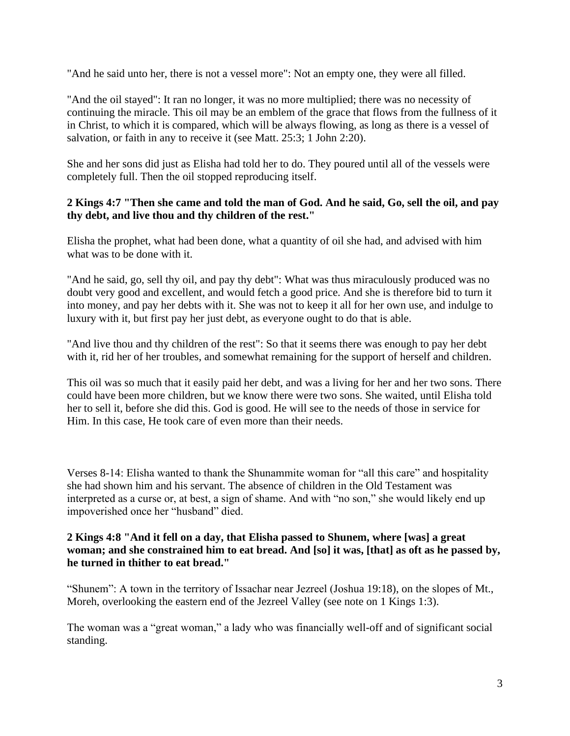"And he said unto her, there is not a vessel more": Not an empty one, they were all filled.

"And the oil stayed": It ran no longer, it was no more multiplied; there was no necessity of continuing the miracle. This oil may be an emblem of the grace that flows from the fullness of it in Christ, to which it is compared, which will be always flowing, as long as there is a vessel of salvation, or faith in any to receive it (see Matt. 25:3; 1 John 2:20).

She and her sons did just as Elisha had told her to do. They poured until all of the vessels were completely full. Then the oil stopped reproducing itself.

#### **2 Kings 4:7 "Then she came and told the man of God. And he said, Go, sell the oil, and pay thy debt, and live thou and thy children of the rest."**

Elisha the prophet, what had been done, what a quantity of oil she had, and advised with him what was to be done with it.

"And he said, go, sell thy oil, and pay thy debt": What was thus miraculously produced was no doubt very good and excellent, and would fetch a good price. And she is therefore bid to turn it into money, and pay her debts with it. She was not to keep it all for her own use, and indulge to luxury with it, but first pay her just debt, as everyone ought to do that is able.

"And live thou and thy children of the rest": So that it seems there was enough to pay her debt with it, rid her of her troubles, and somewhat remaining for the support of herself and children.

This oil was so much that it easily paid her debt, and was a living for her and her two sons. There could have been more children, but we know there were two sons. She waited, until Elisha told her to sell it, before she did this. God is good. He will see to the needs of those in service for Him. In this case, He took care of even more than their needs.

Verses 8-14: Elisha wanted to thank the Shunammite woman for "all this care" and hospitality she had shown him and his servant. The absence of children in the Old Testament was interpreted as a curse or, at best, a sign of shame. And with "no son," she would likely end up impoverished once her "husband" died.

#### **2 Kings 4:8 "And it fell on a day, that Elisha passed to Shunem, where [was] a great woman; and she constrained him to eat bread. And [so] it was, [that] as oft as he passed by, he turned in thither to eat bread."**

"Shunem": A town in the territory of Issachar near Jezreel (Joshua 19:18), on the slopes of Mt., Moreh, overlooking the eastern end of the Jezreel Valley (see note on 1 Kings 1:3).

The woman was a "great woman," a lady who was financially well-off and of significant social standing.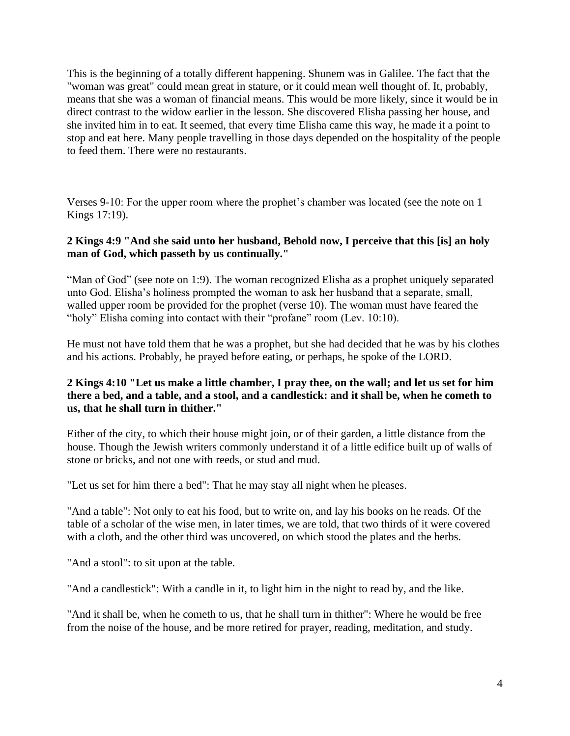This is the beginning of a totally different happening. Shunem was in Galilee. The fact that the "woman was great" could mean great in stature, or it could mean well thought of. It, probably, means that she was a woman of financial means. This would be more likely, since it would be in direct contrast to the widow earlier in the lesson. She discovered Elisha passing her house, and she invited him in to eat. It seemed, that every time Elisha came this way, he made it a point to stop and eat here. Many people travelling in those days depended on the hospitality of the people to feed them. There were no restaurants.

Verses 9-10: For the upper room where the prophet's chamber was located (see the note on 1 Kings 17:19).

#### **2 Kings 4:9 "And she said unto her husband, Behold now, I perceive that this [is] an holy man of God, which passeth by us continually."**

"Man of God" (see note on 1:9). The woman recognized Elisha as a prophet uniquely separated unto God. Elisha's holiness prompted the woman to ask her husband that a separate, small, walled upper room be provided for the prophet (verse 10). The woman must have feared the "holy" Elisha coming into contact with their "profane" room (Lev. 10:10).

He must not have told them that he was a prophet, but she had decided that he was by his clothes and his actions. Probably, he prayed before eating, or perhaps, he spoke of the LORD.

## **2 Kings 4:10 "Let us make a little chamber, I pray thee, on the wall; and let us set for him there a bed, and a table, and a stool, and a candlestick: and it shall be, when he cometh to us, that he shall turn in thither."**

Either of the city, to which their house might join, or of their garden, a little distance from the house. Though the Jewish writers commonly understand it of a little edifice built up of walls of stone or bricks, and not one with reeds, or stud and mud.

"Let us set for him there a bed": That he may stay all night when he pleases.

"And a table": Not only to eat his food, but to write on, and lay his books on he reads. Of the table of a scholar of the wise men, in later times, we are told, that two thirds of it were covered with a cloth, and the other third was uncovered, on which stood the plates and the herbs.

"And a stool": to sit upon at the table.

"And a candlestick": With a candle in it, to light him in the night to read by, and the like.

"And it shall be, when he cometh to us, that he shall turn in thither": Where he would be free from the noise of the house, and be more retired for prayer, reading, meditation, and study.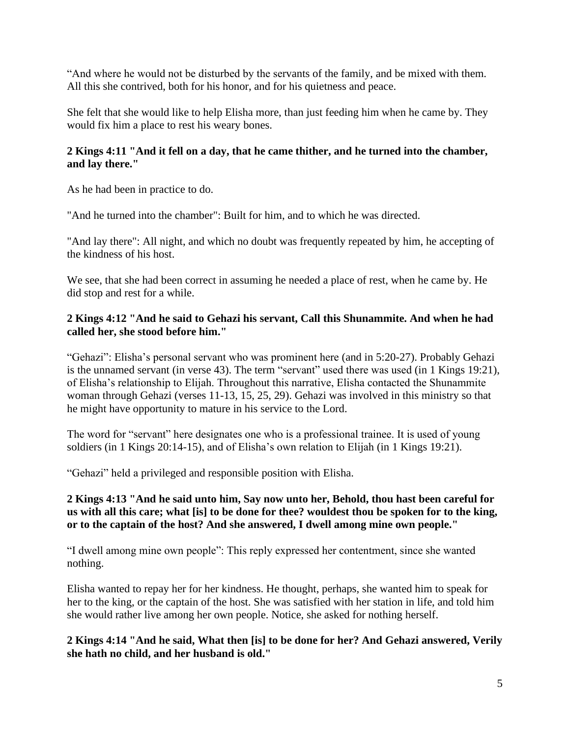"And where he would not be disturbed by the servants of the family, and be mixed with them. All this she contrived, both for his honor, and for his quietness and peace.

She felt that she would like to help Elisha more, than just feeding him when he came by. They would fix him a place to rest his weary bones.

## **2 Kings 4:11 "And it fell on a day, that he came thither, and he turned into the chamber, and lay there."**

As he had been in practice to do.

"And he turned into the chamber": Built for him, and to which he was directed.

"And lay there": All night, and which no doubt was frequently repeated by him, he accepting of the kindness of his host.

We see, that she had been correct in assuming he needed a place of rest, when he came by. He did stop and rest for a while.

# **2 Kings 4:12 "And he said to Gehazi his servant, Call this Shunammite. And when he had called her, she stood before him."**

"Gehazi": Elisha's personal servant who was prominent here (and in 5:20-27). Probably Gehazi is the unnamed servant (in verse 43). The term "servant" used there was used (in 1 Kings 19:21), of Elisha's relationship to Elijah. Throughout this narrative, Elisha contacted the Shunammite woman through Gehazi (verses 11-13, 15, 25, 29). Gehazi was involved in this ministry so that he might have opportunity to mature in his service to the Lord.

The word for "servant" here designates one who is a professional trainee. It is used of young soldiers (in 1 Kings 20:14-15), and of Elisha's own relation to Elijah (in 1 Kings 19:21).

"Gehazi" held a privileged and responsible position with Elisha.

# **2 Kings 4:13 "And he said unto him, Say now unto her, Behold, thou hast been careful for us with all this care; what [is] to be done for thee? wouldest thou be spoken for to the king, or to the captain of the host? And she answered, I dwell among mine own people."**

"I dwell among mine own people": This reply expressed her contentment, since she wanted nothing.

Elisha wanted to repay her for her kindness. He thought, perhaps, she wanted him to speak for her to the king, or the captain of the host. She was satisfied with her station in life, and told him she would rather live among her own people. Notice, she asked for nothing herself.

**2 Kings 4:14 "And he said, What then [is] to be done for her? And Gehazi answered, Verily she hath no child, and her husband is old."**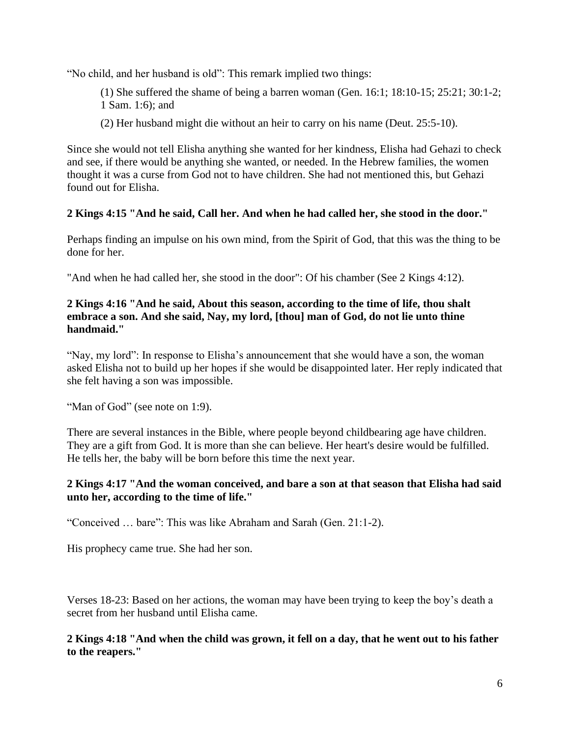"No child, and her husband is old": This remark implied two things:

- (1) She suffered the shame of being a barren woman (Gen. 16:1; 18:10-15; 25:21; 30:1-2; 1 Sam. 1:6); and
- (2) Her husband might die without an heir to carry on his name (Deut. 25:5-10).

Since she would not tell Elisha anything she wanted for her kindness, Elisha had Gehazi to check and see, if there would be anything she wanted, or needed. In the Hebrew families, the women thought it was a curse from God not to have children. She had not mentioned this, but Gehazi found out for Elisha.

# **2 Kings 4:15 "And he said, Call her. And when he had called her, she stood in the door."**

Perhaps finding an impulse on his own mind, from the Spirit of God, that this was the thing to be done for her.

"And when he had called her, she stood in the door": Of his chamber (See 2 Kings 4:12).

## **2 Kings 4:16 "And he said, About this season, according to the time of life, thou shalt embrace a son. And she said, Nay, my lord, [thou] man of God, do not lie unto thine handmaid."**

"Nay, my lord": In response to Elisha's announcement that she would have a son, the woman asked Elisha not to build up her hopes if she would be disappointed later. Her reply indicated that she felt having a son was impossible.

"Man of God" (see note on 1:9).

There are several instances in the Bible, where people beyond childbearing age have children. They are a gift from God. It is more than she can believe. Her heart's desire would be fulfilled. He tells her, the baby will be born before this time the next year.

#### **2 Kings 4:17 "And the woman conceived, and bare a son at that season that Elisha had said unto her, according to the time of life."**

"Conceived … bare": This was like Abraham and Sarah (Gen. 21:1-2).

His prophecy came true. She had her son.

Verses 18-23: Based on her actions, the woman may have been trying to keep the boy's death a secret from her husband until Elisha came.

**2 Kings 4:18 "And when the child was grown, it fell on a day, that he went out to his father to the reapers."**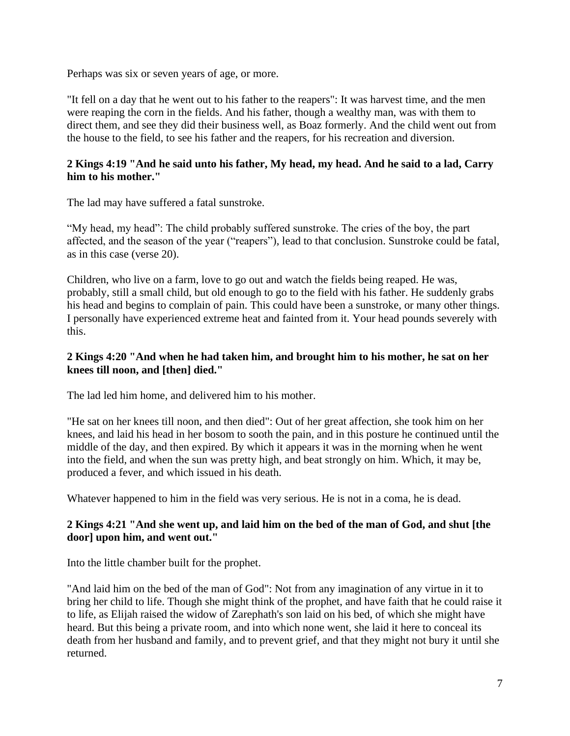Perhaps was six or seven years of age, or more.

"It fell on a day that he went out to his father to the reapers": It was harvest time, and the men were reaping the corn in the fields. And his father, though a wealthy man, was with them to direct them, and see they did their business well, as Boaz formerly. And the child went out from the house to the field, to see his father and the reapers, for his recreation and diversion.

## **2 Kings 4:19 "And he said unto his father, My head, my head. And he said to a lad, Carry him to his mother."**

The lad may have suffered a fatal sunstroke.

"My head, my head": The child probably suffered sunstroke. The cries of the boy, the part affected, and the season of the year ("reapers"), lead to that conclusion. Sunstroke could be fatal, as in this case (verse 20).

Children, who live on a farm, love to go out and watch the fields being reaped. He was, probably, still a small child, but old enough to go to the field with his father. He suddenly grabs his head and begins to complain of pain. This could have been a sunstroke, or many other things. I personally have experienced extreme heat and fainted from it. Your head pounds severely with this.

# **2 Kings 4:20 "And when he had taken him, and brought him to his mother, he sat on her knees till noon, and [then] died."**

The lad led him home, and delivered him to his mother.

"He sat on her knees till noon, and then died": Out of her great affection, she took him on her knees, and laid his head in her bosom to sooth the pain, and in this posture he continued until the middle of the day, and then expired. By which it appears it was in the morning when he went into the field, and when the sun was pretty high, and beat strongly on him. Which, it may be, produced a fever, and which issued in his death.

Whatever happened to him in the field was very serious. He is not in a coma, he is dead.

# **2 Kings 4:21 "And she went up, and laid him on the bed of the man of God, and shut [the door] upon him, and went out."**

Into the little chamber built for the prophet.

"And laid him on the bed of the man of God": Not from any imagination of any virtue in it to bring her child to life. Though she might think of the prophet, and have faith that he could raise it to life, as Elijah raised the widow of Zarephath's son laid on his bed, of which she might have heard. But this being a private room, and into which none went, she laid it here to conceal its death from her husband and family, and to prevent grief, and that they might not bury it until she returned.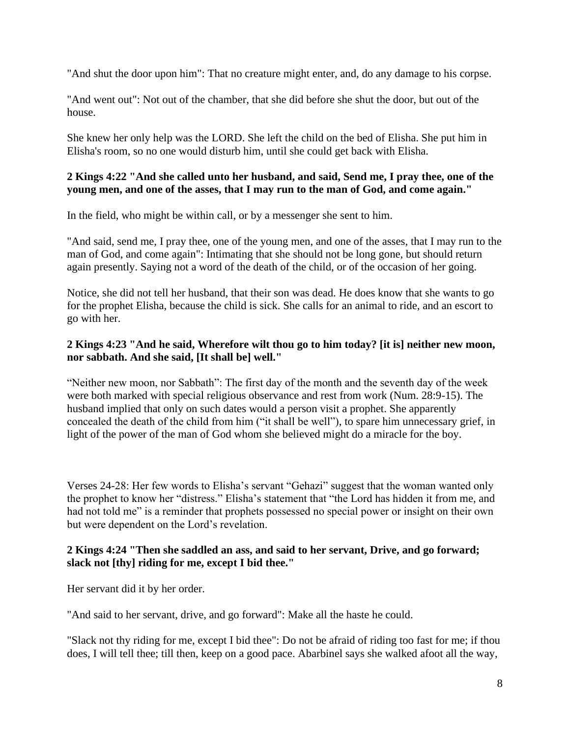"And shut the door upon him": That no creature might enter, and, do any damage to his corpse.

"And went out": Not out of the chamber, that she did before she shut the door, but out of the house.

She knew her only help was the LORD. She left the child on the bed of Elisha. She put him in Elisha's room, so no one would disturb him, until she could get back with Elisha.

#### **2 Kings 4:22 "And she called unto her husband, and said, Send me, I pray thee, one of the young men, and one of the asses, that I may run to the man of God, and come again."**

In the field, who might be within call, or by a messenger she sent to him.

"And said, send me, I pray thee, one of the young men, and one of the asses, that I may run to the man of God, and come again": Intimating that she should not be long gone, but should return again presently. Saying not a word of the death of the child, or of the occasion of her going.

Notice, she did not tell her husband, that their son was dead. He does know that she wants to go for the prophet Elisha, because the child is sick. She calls for an animal to ride, and an escort to go with her.

# **2 Kings 4:23 "And he said, Wherefore wilt thou go to him today? [it is] neither new moon, nor sabbath. And she said, [It shall be] well."**

"Neither new moon, nor Sabbath": The first day of the month and the seventh day of the week were both marked with special religious observance and rest from work (Num. 28:9-15). The husband implied that only on such dates would a person visit a prophet. She apparently concealed the death of the child from him ("it shall be well"), to spare him unnecessary grief, in light of the power of the man of God whom she believed might do a miracle for the boy.

Verses 24-28: Her few words to Elisha's servant "Gehazi" suggest that the woman wanted only the prophet to know her "distress." Elisha's statement that "the Lord has hidden it from me, and had not told me" is a reminder that prophets possessed no special power or insight on their own but were dependent on the Lord's revelation.

#### **2 Kings 4:24 "Then she saddled an ass, and said to her servant, Drive, and go forward; slack not [thy] riding for me, except I bid thee."**

Her servant did it by her order.

"And said to her servant, drive, and go forward": Make all the haste he could.

"Slack not thy riding for me, except I bid thee": Do not be afraid of riding too fast for me; if thou does, I will tell thee; till then, keep on a good pace. Abarbinel says she walked afoot all the way,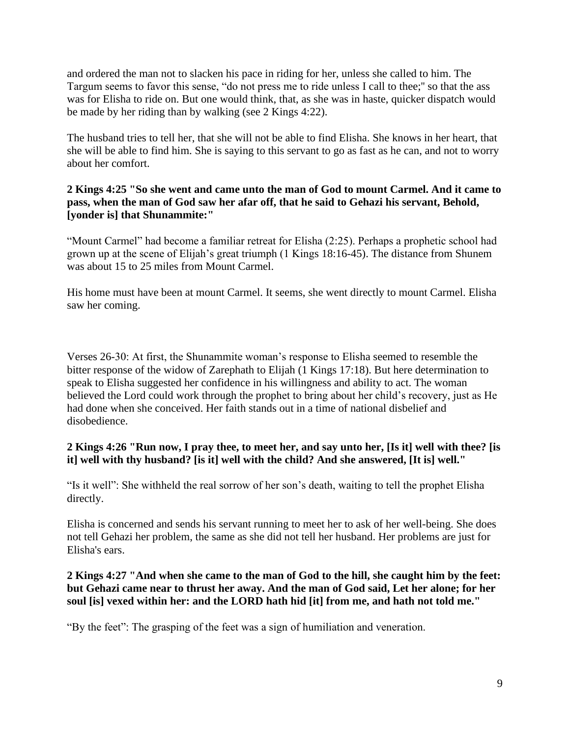and ordered the man not to slacken his pace in riding for her, unless she called to him. The Targum seems to favor this sense, "do not press me to ride unless I call to thee;'' so that the ass was for Elisha to ride on. But one would think, that, as she was in haste, quicker dispatch would be made by her riding than by walking (see 2 Kings 4:22).

The husband tries to tell her, that she will not be able to find Elisha. She knows in her heart, that she will be able to find him. She is saying to this servant to go as fast as he can, and not to worry about her comfort.

## **2 Kings 4:25 "So she went and came unto the man of God to mount Carmel. And it came to pass, when the man of God saw her afar off, that he said to Gehazi his servant, Behold, [yonder is] that Shunammite:"**

"Mount Carmel" had become a familiar retreat for Elisha (2:25). Perhaps a prophetic school had grown up at the scene of Elijah's great triumph (1 Kings 18:16-45). The distance from Shunem was about 15 to 25 miles from Mount Carmel.

His home must have been at mount Carmel. It seems, she went directly to mount Carmel. Elisha saw her coming.

Verses 26-30: At first, the Shunammite woman's response to Elisha seemed to resemble the bitter response of the widow of Zarephath to Elijah (1 Kings 17:18). But here determination to speak to Elisha suggested her confidence in his willingness and ability to act. The woman believed the Lord could work through the prophet to bring about her child's recovery, just as He had done when she conceived. Her faith stands out in a time of national disbelief and disobedience.

## **2 Kings 4:26 "Run now, I pray thee, to meet her, and say unto her, [Is it] well with thee? [is it] well with thy husband? [is it] well with the child? And she answered, [It is] well."**

"Is it well": She withheld the real sorrow of her son's death, waiting to tell the prophet Elisha directly.

Elisha is concerned and sends his servant running to meet her to ask of her well-being. She does not tell Gehazi her problem, the same as she did not tell her husband. Her problems are just for Elisha's ears.

## **2 Kings 4:27 "And when she came to the man of God to the hill, she caught him by the feet: but Gehazi came near to thrust her away. And the man of God said, Let her alone; for her soul [is] vexed within her: and the LORD hath hid [it] from me, and hath not told me."**

"By the feet": The grasping of the feet was a sign of humiliation and veneration.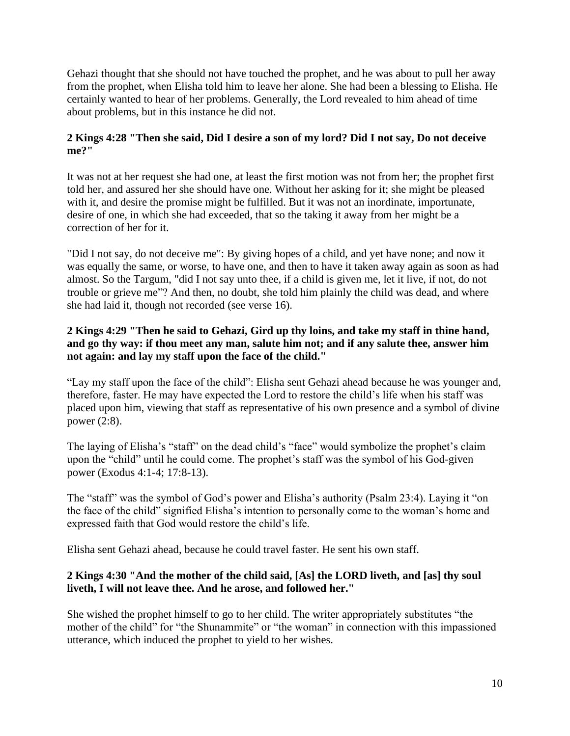Gehazi thought that she should not have touched the prophet, and he was about to pull her away from the prophet, when Elisha told him to leave her alone. She had been a blessing to Elisha. He certainly wanted to hear of her problems. Generally, the Lord revealed to him ahead of time about problems, but in this instance he did not.

# **2 Kings 4:28 "Then she said, Did I desire a son of my lord? Did I not say, Do not deceive me?"**

It was not at her request she had one, at least the first motion was not from her; the prophet first told her, and assured her she should have one. Without her asking for it; she might be pleased with it, and desire the promise might be fulfilled. But it was not an inordinate, importunate, desire of one, in which she had exceeded, that so the taking it away from her might be a correction of her for it.

"Did I not say, do not deceive me": By giving hopes of a child, and yet have none; and now it was equally the same, or worse, to have one, and then to have it taken away again as soon as had almost. So the Targum, "did I not say unto thee, if a child is given me, let it live, if not, do not trouble or grieve me"? And then, no doubt, she told him plainly the child was dead, and where she had laid it, though not recorded (see verse 16).

# **2 Kings 4:29 "Then he said to Gehazi, Gird up thy loins, and take my staff in thine hand, and go thy way: if thou meet any man, salute him not; and if any salute thee, answer him not again: and lay my staff upon the face of the child."**

"Lay my staff upon the face of the child": Elisha sent Gehazi ahead because he was younger and, therefore, faster. He may have expected the Lord to restore the child's life when his staff was placed upon him, viewing that staff as representative of his own presence and a symbol of divine power (2:8).

The laying of Elisha's "staff" on the dead child's "face" would symbolize the prophet's claim upon the "child" until he could come. The prophet's staff was the symbol of his God-given power (Exodus 4:1-4; 17:8-13).

The "staff" was the symbol of God's power and Elisha's authority (Psalm 23:4). Laying it "on the face of the child" signified Elisha's intention to personally come to the woman's home and expressed faith that God would restore the child's life.

Elisha sent Gehazi ahead, because he could travel faster. He sent his own staff.

# **2 Kings 4:30 "And the mother of the child said, [As] the LORD liveth, and [as] thy soul liveth, I will not leave thee. And he arose, and followed her."**

She wished the prophet himself to go to her child. The writer appropriately substitutes "the mother of the child" for "the Shunammite" or "the woman" in connection with this impassioned utterance, which induced the prophet to yield to her wishes.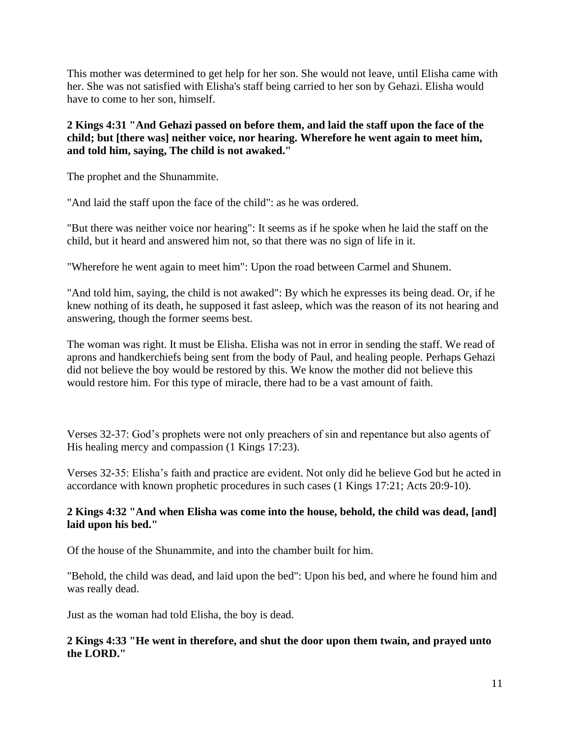This mother was determined to get help for her son. She would not leave, until Elisha came with her. She was not satisfied with Elisha's staff being carried to her son by Gehazi. Elisha would have to come to her son, himself.

## **2 Kings 4:31 "And Gehazi passed on before them, and laid the staff upon the face of the child; but [there was] neither voice, nor hearing. Wherefore he went again to meet him, and told him, saying, The child is not awaked."**

The prophet and the Shunammite.

"And laid the staff upon the face of the child": as he was ordered.

"But there was neither voice nor hearing": It seems as if he spoke when he laid the staff on the child, but it heard and answered him not, so that there was no sign of life in it.

"Wherefore he went again to meet him": Upon the road between Carmel and Shunem.

"And told him, saying, the child is not awaked": By which he expresses its being dead. Or, if he knew nothing of its death, he supposed it fast asleep, which was the reason of its not hearing and answering, though the former seems best.

The woman was right. It must be Elisha. Elisha was not in error in sending the staff. We read of aprons and handkerchiefs being sent from the body of Paul, and healing people. Perhaps Gehazi did not believe the boy would be restored by this. We know the mother did not believe this would restore him. For this type of miracle, there had to be a vast amount of faith.

Verses 32-37: God's prophets were not only preachers of sin and repentance but also agents of His healing mercy and compassion (1 Kings 17:23).

Verses 32-35: Elisha's faith and practice are evident. Not only did he believe God but he acted in accordance with known prophetic procedures in such cases (1 Kings 17:21; Acts 20:9-10).

# **2 Kings 4:32 "And when Elisha was come into the house, behold, the child was dead, [and] laid upon his bed."**

Of the house of the Shunammite, and into the chamber built for him.

"Behold, the child was dead, and laid upon the bed": Upon his bed, and where he found him and was really dead.

Just as the woman had told Elisha, the boy is dead.

## **2 Kings 4:33 "He went in therefore, and shut the door upon them twain, and prayed unto the LORD."**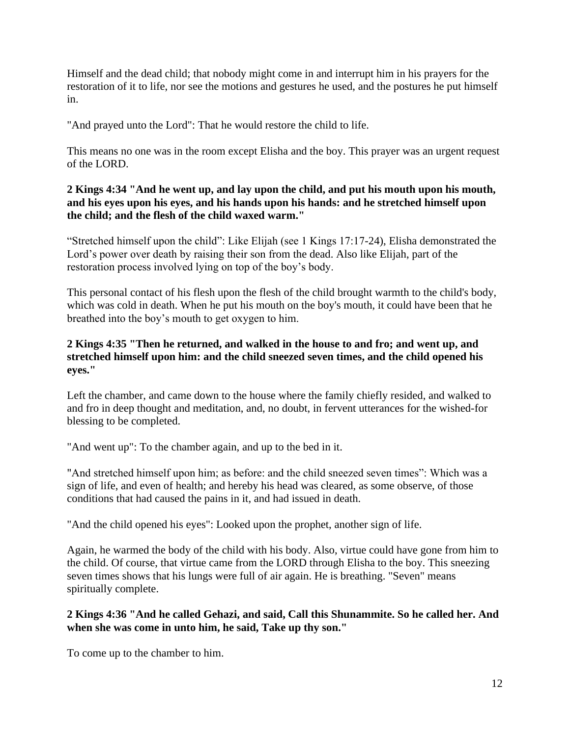Himself and the dead child; that nobody might come in and interrupt him in his prayers for the restoration of it to life, nor see the motions and gestures he used, and the postures he put himself in.

"And prayed unto the Lord": That he would restore the child to life.

This means no one was in the room except Elisha and the boy. This prayer was an urgent request of the LORD.

# **2 Kings 4:34 "And he went up, and lay upon the child, and put his mouth upon his mouth, and his eyes upon his eyes, and his hands upon his hands: and he stretched himself upon the child; and the flesh of the child waxed warm."**

"Stretched himself upon the child": Like Elijah (see 1 Kings 17:17-24), Elisha demonstrated the Lord's power over death by raising their son from the dead. Also like Elijah, part of the restoration process involved lying on top of the boy's body.

This personal contact of his flesh upon the flesh of the child brought warmth to the child's body, which was cold in death. When he put his mouth on the boy's mouth, it could have been that he breathed into the boy's mouth to get oxygen to him.

# **2 Kings 4:35 "Then he returned, and walked in the house to and fro; and went up, and stretched himself upon him: and the child sneezed seven times, and the child opened his eyes."**

Left the chamber, and came down to the house where the family chiefly resided, and walked to and fro in deep thought and meditation, and, no doubt, in fervent utterances for the wished-for blessing to be completed.

"And went up": To the chamber again, and up to the bed in it.

"And stretched himself upon him; as before: and the child sneezed seven times": Which was a sign of life, and even of health; and hereby his head was cleared, as some observe, of those conditions that had caused the pains in it, and had issued in death.

"And the child opened his eyes": Looked upon the prophet, another sign of life.

Again, he warmed the body of the child with his body. Also, virtue could have gone from him to the child. Of course, that virtue came from the LORD through Elisha to the boy. This sneezing seven times shows that his lungs were full of air again. He is breathing. "Seven" means spiritually complete.

# **2 Kings 4:36 "And he called Gehazi, and said, Call this Shunammite. So he called her. And when she was come in unto him, he said, Take up thy son."**

To come up to the chamber to him.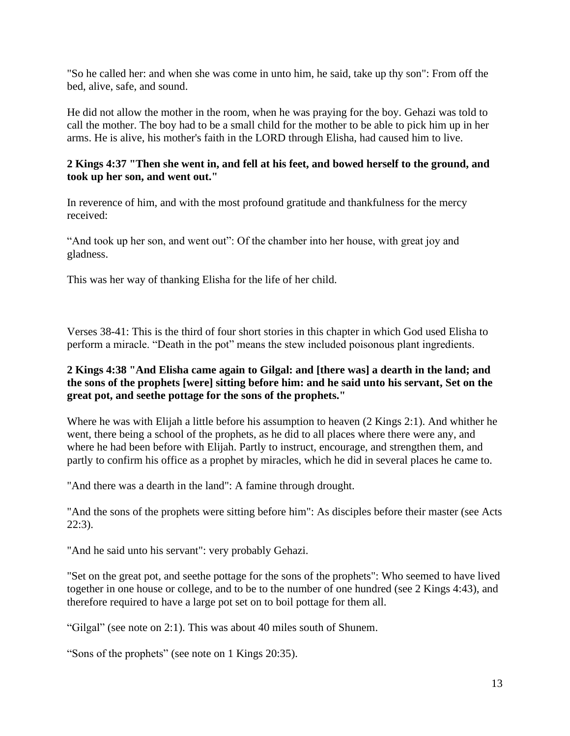"So he called her: and when she was come in unto him, he said, take up thy son": From off the bed, alive, safe, and sound.

He did not allow the mother in the room, when he was praying for the boy. Gehazi was told to call the mother. The boy had to be a small child for the mother to be able to pick him up in her arms. He is alive, his mother's faith in the LORD through Elisha, had caused him to live.

## **2 Kings 4:37 "Then she went in, and fell at his feet, and bowed herself to the ground, and took up her son, and went out."**

In reverence of him, and with the most profound gratitude and thankfulness for the mercy received:

"And took up her son, and went out": Of the chamber into her house, with great joy and gladness.

This was her way of thanking Elisha for the life of her child.

Verses 38-41: This is the third of four short stories in this chapter in which God used Elisha to perform a miracle. "Death in the pot" means the stew included poisonous plant ingredients.

## **2 Kings 4:38 "And Elisha came again to Gilgal: and [there was] a dearth in the land; and the sons of the prophets [were] sitting before him: and he said unto his servant, Set on the great pot, and seethe pottage for the sons of the prophets."**

Where he was with Elijah a little before his assumption to heaven (2 Kings 2:1). And whither he went, there being a school of the prophets, as he did to all places where there were any, and where he had been before with Elijah. Partly to instruct, encourage, and strengthen them, and partly to confirm his office as a prophet by miracles, which he did in several places he came to.

"And there was a dearth in the land": A famine through drought.

"And the sons of the prophets were sitting before him": As disciples before their master (see Acts 22:3).

"And he said unto his servant": very probably Gehazi.

"Set on the great pot, and seethe pottage for the sons of the prophets": Who seemed to have lived together in one house or college, and to be to the number of one hundred (see 2 Kings 4:43), and therefore required to have a large pot set on to boil pottage for them all.

"Gilgal" (see note on 2:1). This was about 40 miles south of Shunem.

"Sons of the prophets" (see note on 1 Kings 20:35).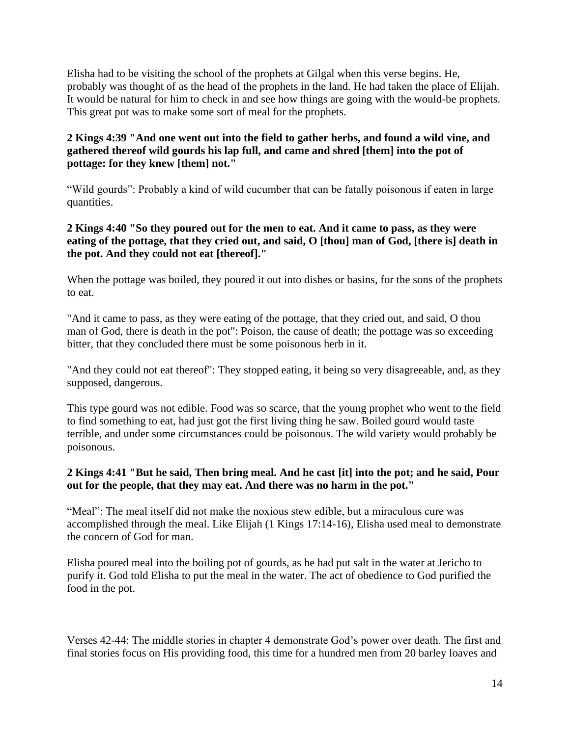Elisha had to be visiting the school of the prophets at Gilgal when this verse begins. He, probably was thought of as the head of the prophets in the land. He had taken the place of Elijah. It would be natural for him to check in and see how things are going with the would-be prophets. This great pot was to make some sort of meal for the prophets.

# **2 Kings 4:39 "And one went out into the field to gather herbs, and found a wild vine, and gathered thereof wild gourds his lap full, and came and shred [them] into the pot of pottage: for they knew [them] not."**

"Wild gourds": Probably a kind of wild cucumber that can be fatally poisonous if eaten in large quantities.

#### **2 Kings 4:40 "So they poured out for the men to eat. And it came to pass, as they were eating of the pottage, that they cried out, and said, O [thou] man of God, [there is] death in the pot. And they could not eat [thereof]."**

When the pottage was boiled, they poured it out into dishes or basins, for the sons of the prophets to eat.

"And it came to pass, as they were eating of the pottage, that they cried out, and said, O thou man of God, there is death in the pot": Poison, the cause of death; the pottage was so exceeding bitter, that they concluded there must be some poisonous herb in it.

"And they could not eat thereof": They stopped eating, it being so very disagreeable, and, as they supposed, dangerous.

This type gourd was not edible. Food was so scarce, that the young prophet who went to the field to find something to eat, had just got the first living thing he saw. Boiled gourd would taste terrible, and under some circumstances could be poisonous. The wild variety would probably be poisonous.

## **2 Kings 4:41 "But he said, Then bring meal. And he cast [it] into the pot; and he said, Pour out for the people, that they may eat. And there was no harm in the pot."**

"Meal": The meal itself did not make the noxious stew edible, but a miraculous cure was accomplished through the meal. Like Elijah (1 Kings 17:14-16), Elisha used meal to demonstrate the concern of God for man.

Elisha poured meal into the boiling pot of gourds, as he had put salt in the water at Jericho to purify it. God told Elisha to put the meal in the water. The act of obedience to God purified the food in the pot.

Verses 42-44: The middle stories in chapter 4 demonstrate God's power over death. The first and final stories focus on His providing food, this time for a hundred men from 20 barley loaves and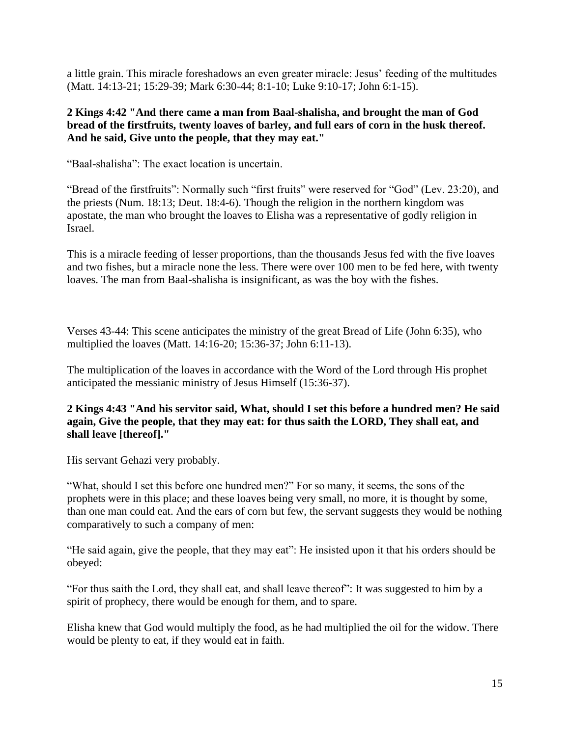a little grain. This miracle foreshadows an even greater miracle: Jesus' feeding of the multitudes (Matt. 14:13-21; 15:29-39; Mark 6:30-44; 8:1-10; Luke 9:10-17; John 6:1-15).

## **2 Kings 4:42 "And there came a man from Baal-shalisha, and brought the man of God bread of the firstfruits, twenty loaves of barley, and full ears of corn in the husk thereof. And he said, Give unto the people, that they may eat."**

"Baal-shalisha": The exact location is uncertain.

"Bread of the firstfruits": Normally such "first fruits" were reserved for "God" (Lev. 23:20), and the priests (Num. 18:13; Deut. 18:4-6). Though the religion in the northern kingdom was apostate, the man who brought the loaves to Elisha was a representative of godly religion in Israel.

This is a miracle feeding of lesser proportions, than the thousands Jesus fed with the five loaves and two fishes, but a miracle none the less. There were over 100 men to be fed here, with twenty loaves. The man from Baal-shalisha is insignificant, as was the boy with the fishes.

Verses 43-44: This scene anticipates the ministry of the great Bread of Life (John 6:35), who multiplied the loaves (Matt. 14:16-20; 15:36-37; John 6:11-13).

The multiplication of the loaves in accordance with the Word of the Lord through His prophet anticipated the messianic ministry of Jesus Himself (15:36-37).

#### **2 Kings 4:43 "And his servitor said, What, should I set this before a hundred men? He said again, Give the people, that they may eat: for thus saith the LORD, They shall eat, and shall leave [thereof]."**

His servant Gehazi very probably.

"What, should I set this before one hundred men?" For so many, it seems, the sons of the prophets were in this place; and these loaves being very small, no more, it is thought by some, than one man could eat. And the ears of corn but few, the servant suggests they would be nothing comparatively to such a company of men:

"He said again, give the people, that they may eat": He insisted upon it that his orders should be obeyed:

"For thus saith the Lord, they shall eat, and shall leave thereof": It was suggested to him by a spirit of prophecy, there would be enough for them, and to spare.

Elisha knew that God would multiply the food, as he had multiplied the oil for the widow. There would be plenty to eat, if they would eat in faith.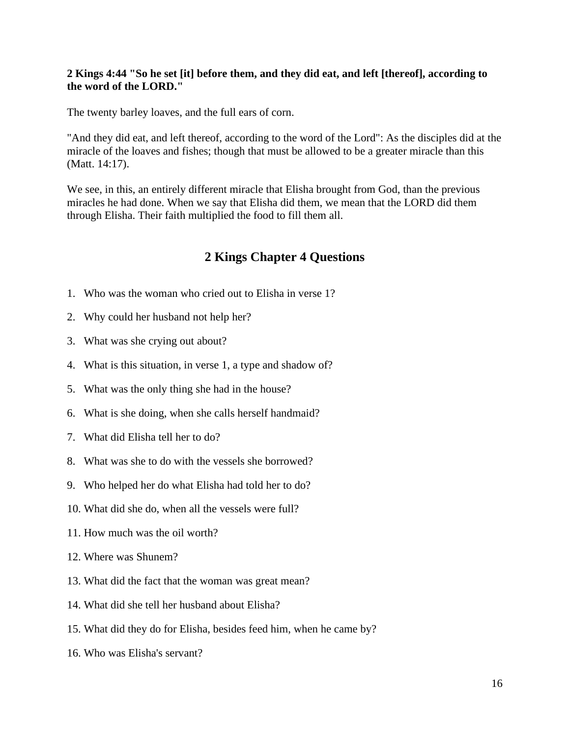#### **2 Kings 4:44 "So he set [it] before them, and they did eat, and left [thereof], according to the word of the LORD."**

The twenty barley loaves, and the full ears of corn.

"And they did eat, and left thereof, according to the word of the Lord": As the disciples did at the miracle of the loaves and fishes; though that must be allowed to be a greater miracle than this (Matt. 14:17).

We see, in this, an entirely different miracle that Elisha brought from God, than the previous miracles he had done. When we say that Elisha did them, we mean that the LORD did them through Elisha. Their faith multiplied the food to fill them all.

# **2 Kings Chapter 4 Questions**

- 1. Who was the woman who cried out to Elisha in verse 1?
- 2. Why could her husband not help her?
- 3. What was she crying out about?
- 4. What is this situation, in verse 1, a type and shadow of?
- 5. What was the only thing she had in the house?
- 6. What is she doing, when she calls herself handmaid?
- 7. What did Elisha tell her to do?
- 8. What was she to do with the vessels she borrowed?
- 9. Who helped her do what Elisha had told her to do?
- 10. What did she do, when all the vessels were full?
- 11. How much was the oil worth?
- 12. Where was Shunem?
- 13. What did the fact that the woman was great mean?
- 14. What did she tell her husband about Elisha?
- 15. What did they do for Elisha, besides feed him, when he came by?
- 16. Who was Elisha's servant?